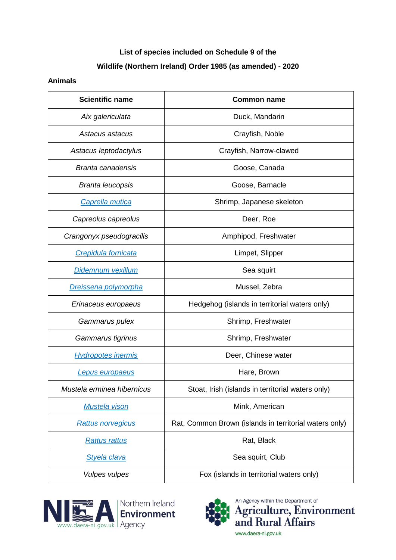## **List of species included on Schedule 9 of the Wildlife (Northern Ireland) Order 1985 (as amended) - 2020**

## **Animals**

| <b>Scientific name</b>      | <b>Common name</b>                                     |
|-----------------------------|--------------------------------------------------------|
| Aix galericulata            | Duck, Mandarin                                         |
| Astacus astacus             | Crayfish, Noble                                        |
| Astacus leptodactylus       | Crayfish, Narrow-clawed                                |
| <b>Branta canadensis</b>    | Goose, Canada                                          |
| <b>Branta leucopsis</b>     | Goose, Barnacle                                        |
| Caprella mutica             | Shrimp, Japanese skeleton                              |
| Capreolus capreolus         | Deer, Roe                                              |
| Crangonyx pseudogracilis    | Amphipod, Freshwater                                   |
| Crepidula fornicata         | Limpet, Slipper                                        |
| Didemnum vexillum           | Sea squirt                                             |
| <b>Dreissena polymorpha</b> | Mussel, Zebra                                          |
| Erinaceus europaeus         | Hedgehog (islands in territorial waters only)          |
| Gammarus pulex              | Shrimp, Freshwater                                     |
| Gammarus tigrinus           | Shrimp, Freshwater                                     |
| <b>Hydropotes inermis</b>   | Deer, Chinese water                                    |
| <b>Lepus europaeus</b>      | Hare, Brown                                            |
| Mustela erminea hibernicus  | Stoat, Irish (islands in territorial waters only)      |
| <b>Mustela vison</b>        | Mink, American                                         |
| <b>Rattus norvegicus</b>    | Rat, Common Brown (islands in territorial waters only) |
| <b>Rattus rattus</b>        | Rat, Black                                             |
| <b>Styela clava</b>         | Sea squirt, Club                                       |
| <b>Vulpes vulpes</b>        | Fox (islands in territorial waters only)               |